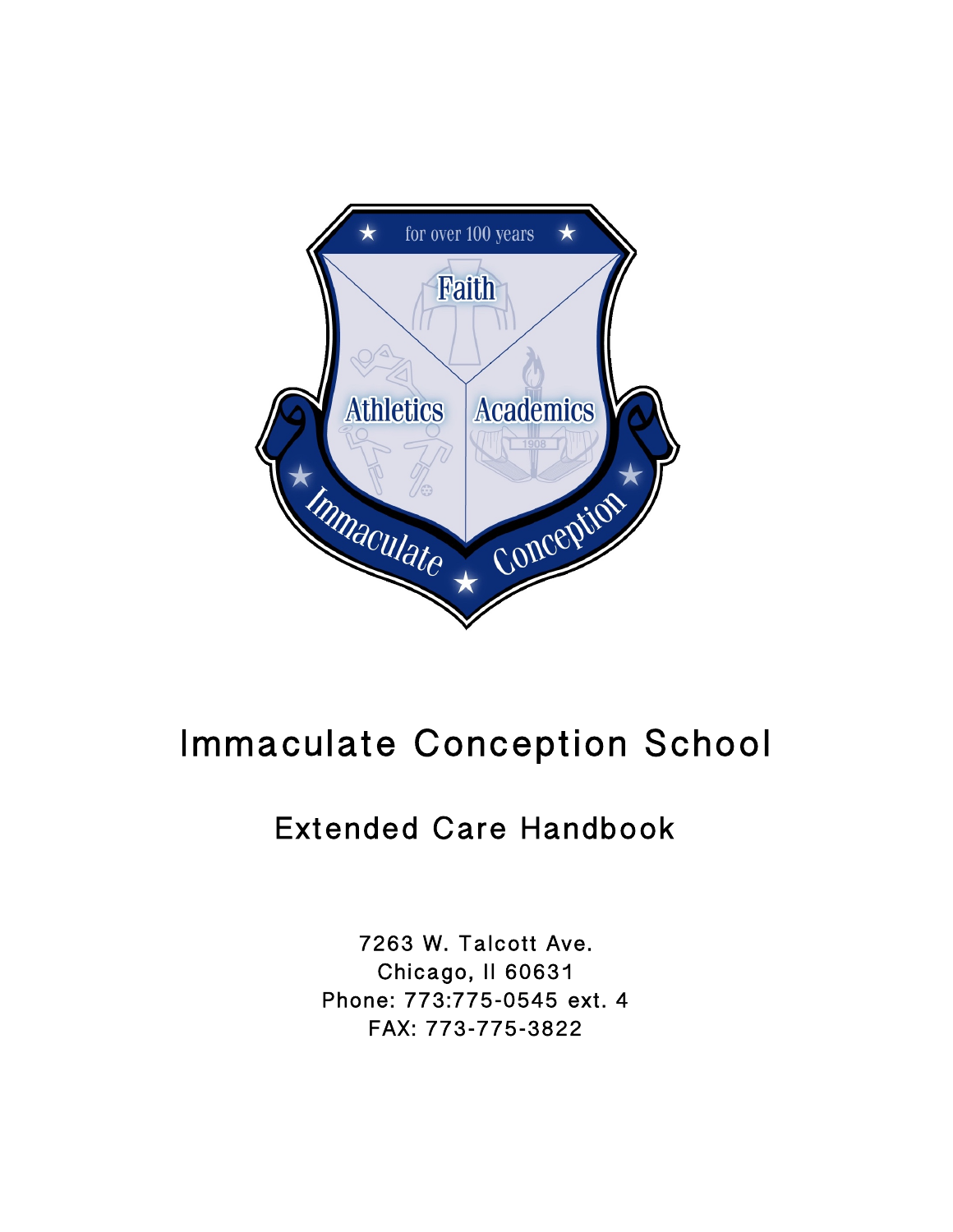

# Immaculate Conception School

## Extended Care Handbook

7263 W. Talcott Ave. Chicago, Il 60631 Phone: 773:775-0545 ext. 4 FAX: 773-775-3822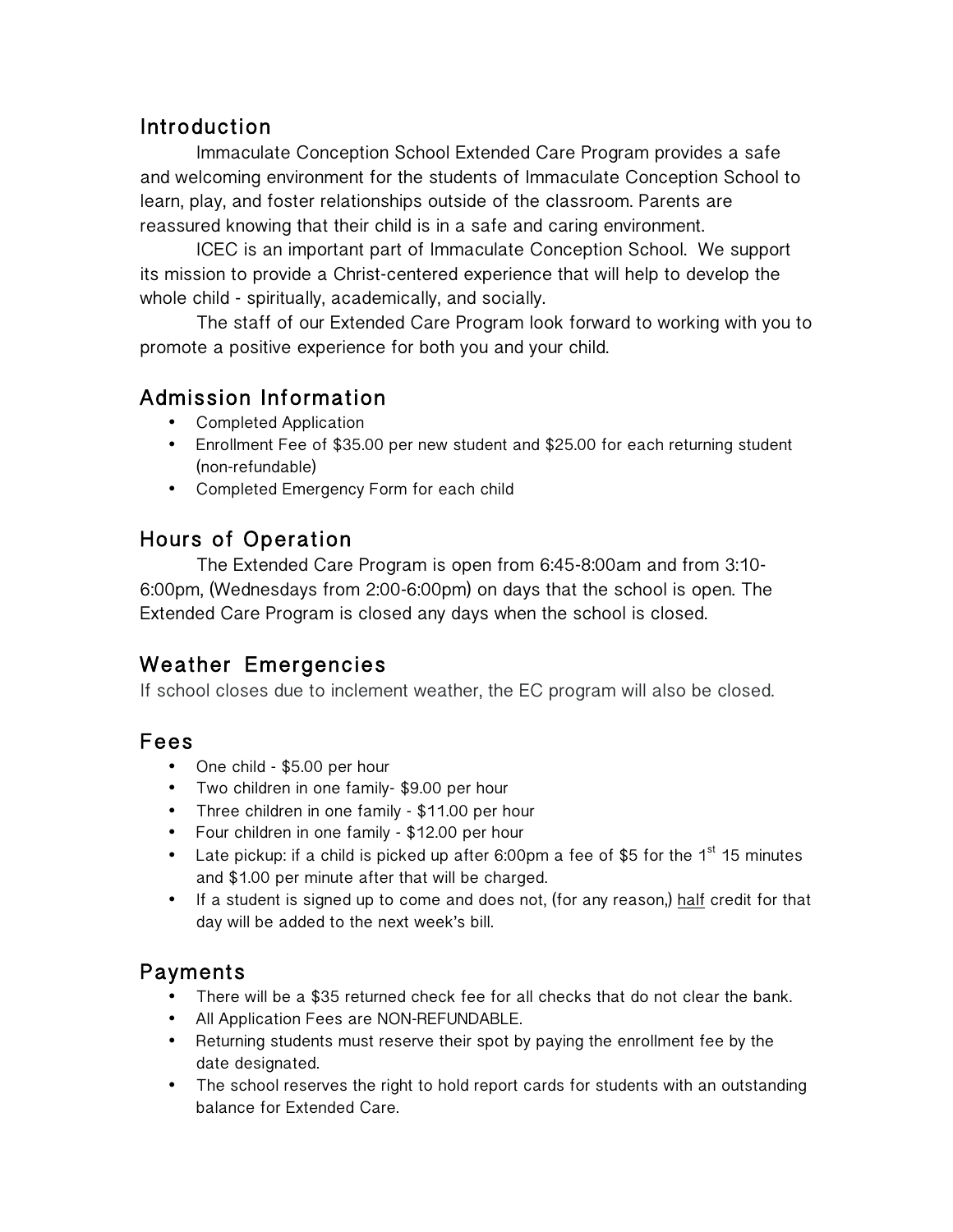## Introduction

Immaculate Conception School Extended Care Program provides a safe and welcoming environment for the students of Immaculate Conception School to learn, play, and foster relationships outside of the classroom. Parents are reassured knowing that their child is in a safe and caring environment.

ICEC is an important part of Immaculate Conception School. We support its mission to provide a Christ-centered experience that will help to develop the whole child - spiritually, academically, and socially.

The staff of our Extended Care Program look forward to working with you to promote a positive experience for both you and your child.

## Admission Information

- Completed Application
- Enrollment Fee of \$35.00 per new student and \$25.00 for each returning student (non-refundable)
- Completed Emergency Form for each child

## Hours of Operation

The Extended Care Program is open from 6:45-8:00am and from 3:10- 6:00pm, (Wednesdays from 2:00-6:00pm) on days that the school is open. The Extended Care Program is closed any days when the school is closed.

## Weather Emergencies

If school closes due to inclement weather, the EC program will also be closed.

### Fees

- One child \$5.00 per hour
- Two children in one family- \$9.00 per hour
- Three children in one family \$11.00 per hour
- Four children in one family \$12.00 per hour
- Late pickup: if a child is picked up after 6:00pm a fee of \$5 for the  $1<sup>st</sup> 15$  minutes and \$1.00 per minute after that will be charged.
- If a student is signed up to come and does not, (for any reason,) half credit for that day will be added to the next week's bill.

## Payments

- There will be a \$35 returned check fee for all checks that do not clear the bank.
- All Application Fees are NON-REFUNDABLE.
- Returning students must reserve their spot by paying the enrollment fee by the date designated.
- The school reserves the right to hold report cards for students with an outstanding balance for Extended Care.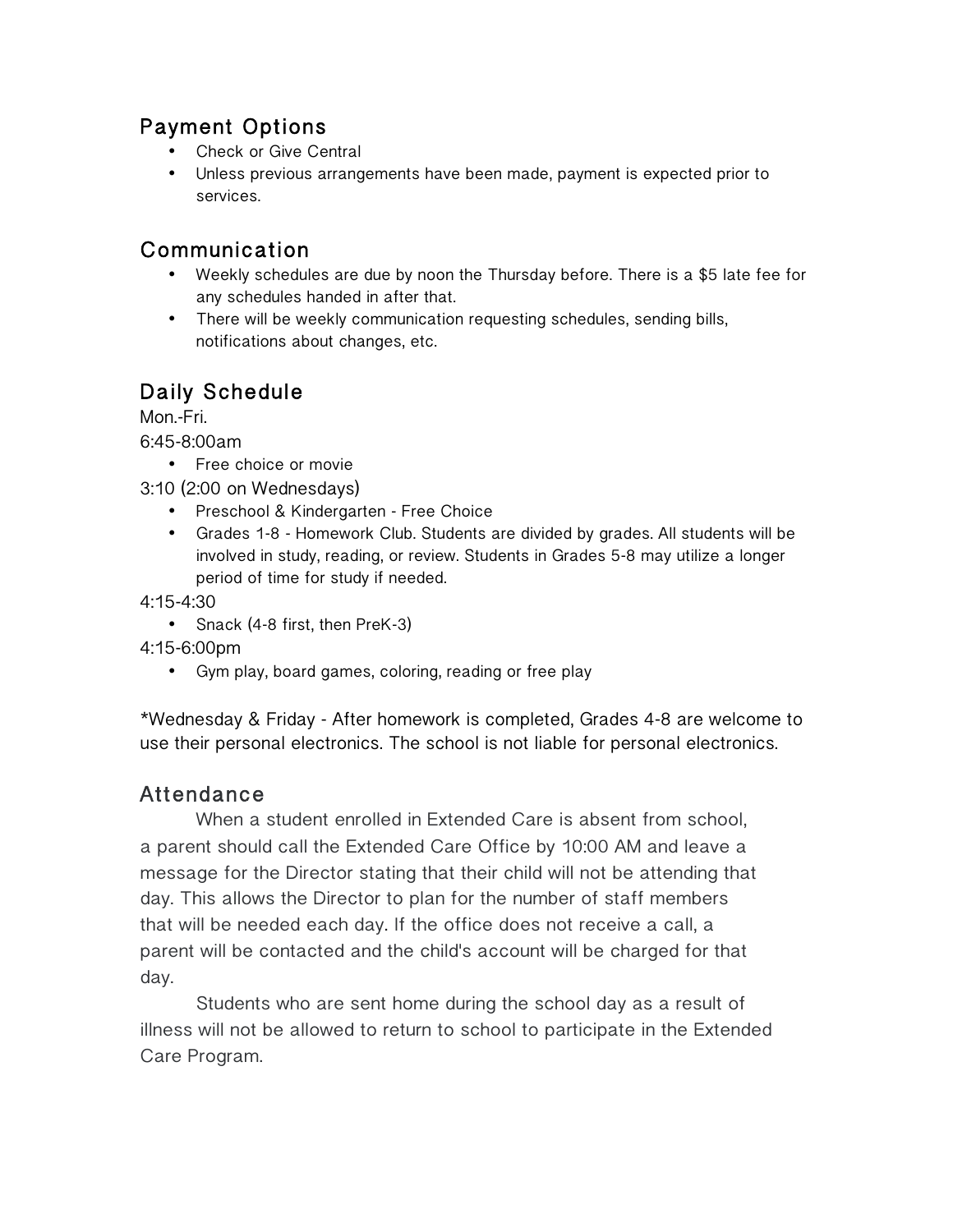## Payment Options

- Check or Give Central
- Unless previous arrangements have been made, payment is expected prior to services.

## Communication

- Weekly schedules are due by noon the Thursday before. There is a \$5 late fee for any schedules handed in after that.
- There will be weekly communication requesting schedules, sending bills, notifications about changes, etc.

## Daily Schedule

Mon.-Fri.

6:45-8:00am

• Free choice or movie

3:10 (2:00 on Wednesdays)

- Preschool & Kindergarten Free Choice
- Grades 1-8 Homework Club. Students are divided by grades. All students will be involved in study, reading, or review. Students in Grades 5-8 may utilize a longer period of time for study if needed.

4:15-4:30

• Snack (4-8 first, then PreK-3)

4:15-6:00pm

• Gym play, board games, coloring, reading or free play

\*Wednesday & Friday - After homework is completed, Grades 4-8 are welcome to use their personal electronics. The school is not liable for personal electronics.

## Attendance

When a student enrolled in Extended Care is absent from school, a parent should call the Extended Care Office by 10:00 AM and leave a message for the Director stating that their child will not be attending that day. This allows the Director to plan for the number of staff members that will be needed each day. If the office does not receive a call, a parent will be contacted and the child's account will be charged for that day.

Students who are sent home during the school day as a result of illness will not be allowed to return to school to participate in the Extended Care Program.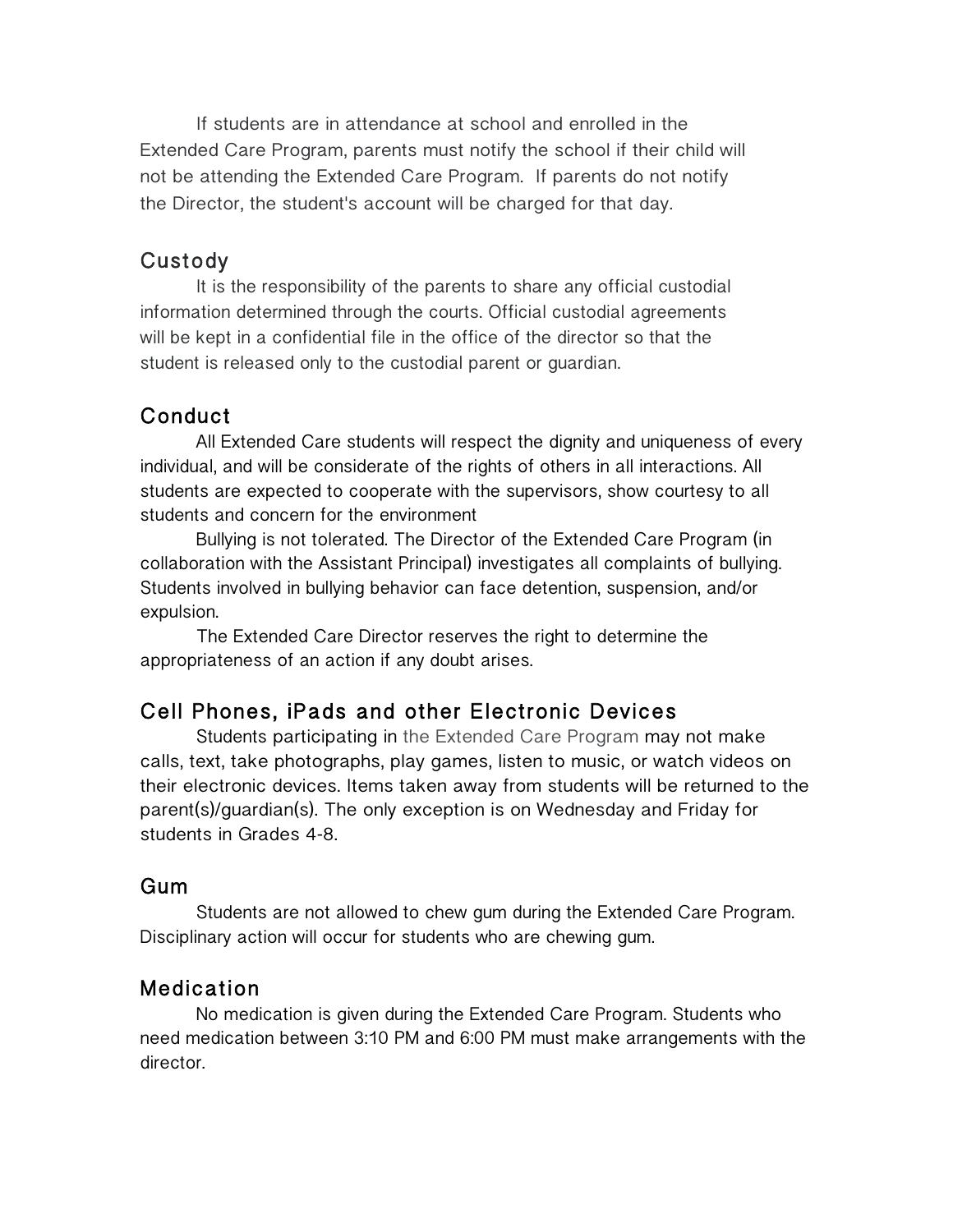If students are in attendance at school and enrolled in the Extended Care Program, parents must notify the school if their child will not be attending the Extended Care Program. If parents do not notify the Director, the student's account will be charged for that day.

#### Custody

It is the responsibility of the parents to share any official custodial information determined through the courts. Official custodial agreements will be kept in a confidential file in the office of the director so that the student is released only to the custodial parent or guardian.

#### Conduct

All Extended Care students will respect the dignity and uniqueness of every individual, and will be considerate of the rights of others in all interactions. All students are expected to cooperate with the supervisors, show courtesy to all students and concern for the environment

Bullying is not tolerated. The Director of the Extended Care Program (in collaboration with the Assistant Principal) investigates all complaints of bullying. Students involved in bullying behavior can face detention, suspension, and/or expulsion.

The Extended Care Director reserves the right to determine the appropriateness of an action if any doubt arises.

#### Cell Phones, iPads and other Electronic Devices

Students participating in the Extended Care Program may not make calls, text, take photographs, play games, listen to music, or watch videos on their electronic devices. Items taken away from students will be returned to the parent(s)/guardian(s). The only exception is on Wednesday and Friday for students in Grades 4-8.

#### Gum

Students are not allowed to chew gum during the Extended Care Program. Disciplinary action will occur for students who are chewing gum.

#### Medication

No medication is given during the Extended Care Program. Students who need medication between 3:10 PM and 6:00 PM must make arrangements with the director.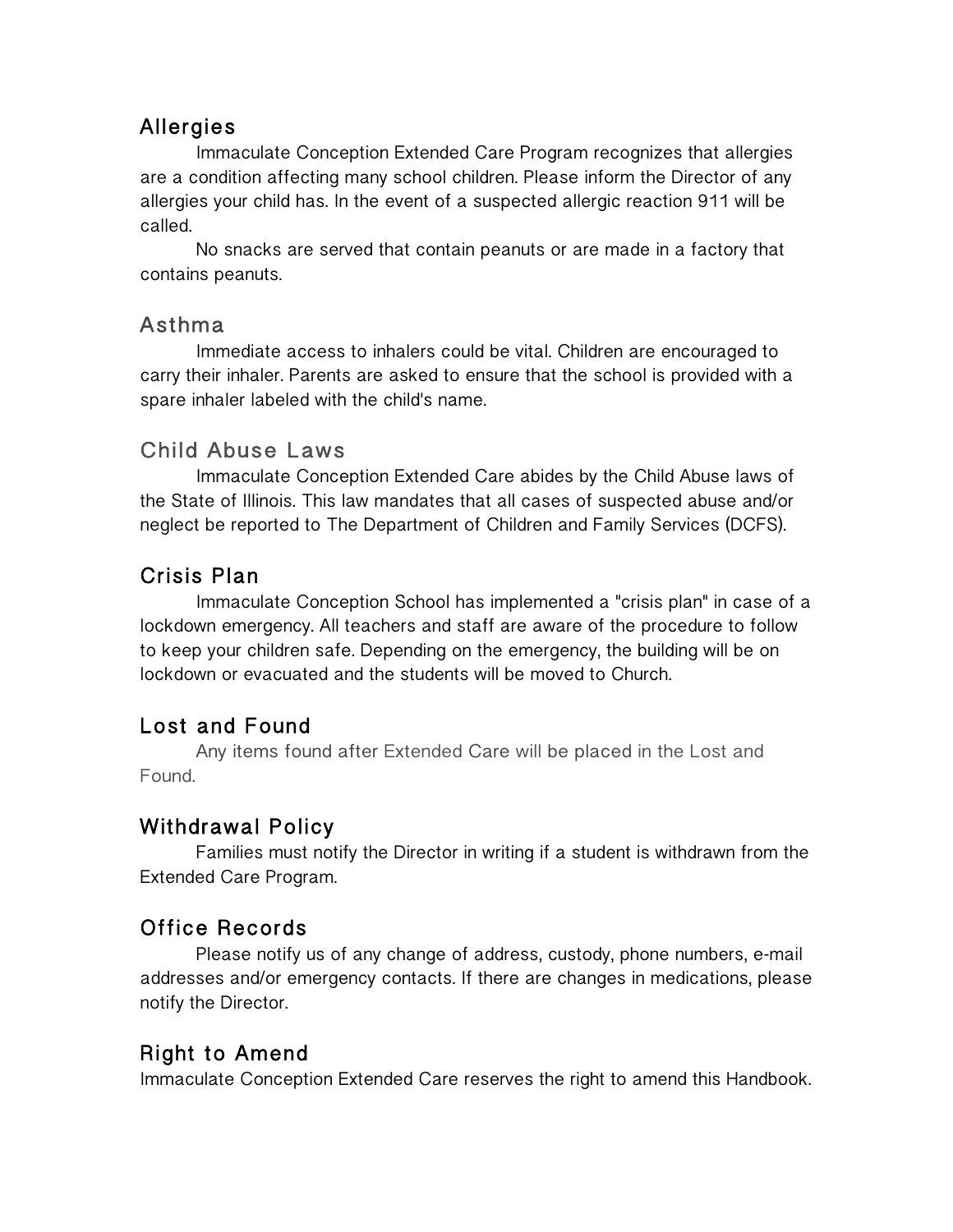## Allergies

Immaculate Conception Extended Care Program recognizes that allergies are a condition affecting many school children. Please inform the Director of any allergies your child has. In the event of a suspected allergic reaction 911 will be called.

No snacks are served that contain peanuts or are made in a factory that contains peanuts.

## Asthma

Immediate access to inhalers could be vital. Children are encouraged to carry their inhaler. Parents are asked to ensure that the school is provided with a spare inhaler labeled with the child's name.

## Child Abuse Laws

Immaculate Conception Extended Care abides by the Child Abuse laws of the State of Illinois. This law mandates that all cases of suspected abuse and/or neglect be reported to The Department of Children and Family Services (DCFS).

## Crisis Plan

Immaculate Conception School has implemented a "crisis plan" in case of a lockdown emergency. All teachers and staff are aware of the procedure to follow to keep your children safe. Depending on the emergency, the building will be on lockdown or evacuated and the students will be moved to Church.

## Lost and Found

Any items found after Extended Care will be placed in the Lost and Found.

## Withdrawal Policy

Families must notify the Director in writing if a student is withdrawn from the Extended Care Program.

## Office Records

Please notify us of any change of address, custody, phone numbers, e-mail addresses and/or emergency contacts. If there are changes in medications, please notify the Director.

## Right to Amend

Immaculate Conception Extended Care reserves the right to amend this Handbook.